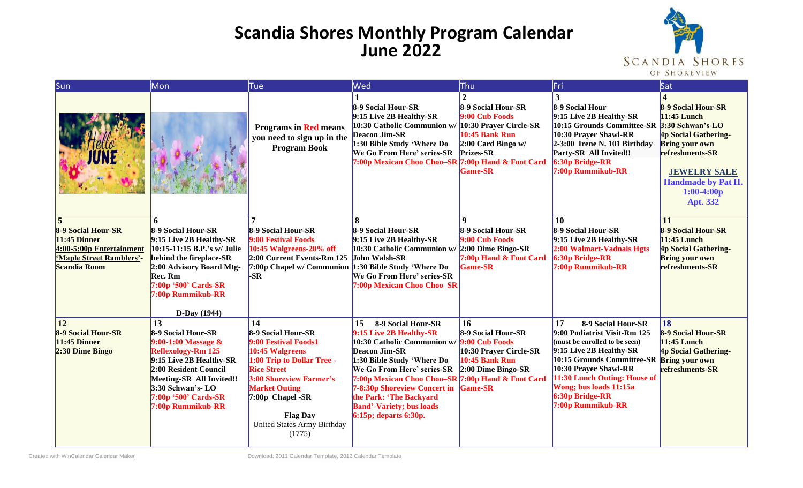## **Scandia Shores Monthly Program Calendar June 2022**



| Sun                                                                                                                 | Mon                                                                                                                                                                                                                                   | Tue                                                                                                                                                                                                                                                          | Wed                                                                                                                                                                                                                                                                                                                                                             | Thu                                                                                                                                                   | Fri                                                                                                                                                                                                                                                                                          | Sat                                                                                                                                                                                          |
|---------------------------------------------------------------------------------------------------------------------|---------------------------------------------------------------------------------------------------------------------------------------------------------------------------------------------------------------------------------------|--------------------------------------------------------------------------------------------------------------------------------------------------------------------------------------------------------------------------------------------------------------|-----------------------------------------------------------------------------------------------------------------------------------------------------------------------------------------------------------------------------------------------------------------------------------------------------------------------------------------------------------------|-------------------------------------------------------------------------------------------------------------------------------------------------------|----------------------------------------------------------------------------------------------------------------------------------------------------------------------------------------------------------------------------------------------------------------------------------------------|----------------------------------------------------------------------------------------------------------------------------------------------------------------------------------------------|
|                                                                                                                     |                                                                                                                                                                                                                                       | <b>Programs in Red means</b><br>you need to sign up in the<br><b>Program Book</b>                                                                                                                                                                            | 8-9 Social Hour-SR<br>9:15 Live 2B Healthy-SR<br>10:30 Catholic Communion w/<br><b>Deacon Jim-SR</b><br>1:30 Bible Study 'Where Do<br>We Go From Here' series-SR<br>7:00p Mexican Choo Choo–SR 7:00p Hand & Foot Card                                                                                                                                           | 8-9 Social Hour-SR<br>9:00 Cub Foods<br>10:30 Prayer Circle-SR<br><b>10:45 Bank Run</b><br>$2:00$ Card Bingo w/<br><b>Prizes-SR</b><br><b>Game-SR</b> | 3<br>8-9 Social Hour<br>9:15 Live 2B Healthy-SR<br>10:15 Grounds Committee-SR 3:30 Schwan's-LO<br>10:30 Prayer Shawl-RR<br>$2-3:00$ Irene N. 101 Birthday<br>Party-SR All Invited!!<br>6:30p Bridge-RR<br>7:00p Rummikub-RR                                                                  | 8-9 Social Hour-SR<br>11:45 Lunch<br>4p Social Gathering-<br><b>Bring your own</b><br>refreshments-SR<br><b>JEWELRY SALE</b><br><b>Handmade by Pat H.</b><br>$1:00-4:00p$<br><b>Apt. 332</b> |
| 8-9 Social Hour-SR<br>$11:45$ Dinner<br>4:00-5:00p Entertainment<br>'Maple Street Ramblers'-<br><b>Scandia Room</b> | 6<br>8-9 Social Hour-SR<br>9:15 Live 2B Healthy-SR<br>10:15-11:15 B.P.'s w/ Julie<br>behind the fireplace-SR<br>2:00 Advisory Board Mtg-<br>Rec. Rm<br>7:00p '500' Cards-SR<br>7:00p Rummikub-RR<br>D-Day (1944)                      | 8-9 Social Hour-SR<br>9:00 Festival Foods<br>10:45 Walgreens-20% off<br>2:00 Current Events-Rm 125<br>7:00p Chapel w/ Communion 1:30 Bible Study 'Where Do<br>-SR                                                                                            | 8-9 Social Hour-SR<br>9:15 Live 2B Healthy-SR<br>10:30 Catholic Communion w/<br>John Walsh-SR<br>We Go From Here' series-SR<br>7:00p Mexican Choo Choo-SR                                                                                                                                                                                                       | $\boldsymbol{Q}$<br>8-9 Social Hour-SR<br>9:00 Cub Foods<br>$2:00$ Dime Bingo-SR<br>7:00p Hand & Foot Card<br><b>Game-SR</b>                          | 10<br>8-9 Social Hour-SR<br>9:15 Live 2B Healthy-SR<br>2:00 Walmart-Vadnais Hgts<br>$6:30p$ Bridge-RR<br>7:00p Rummikub-RR                                                                                                                                                                   | 11<br>8-9 Social Hour-SR<br>$11:45$ Lunch<br><b>4p Social Gathering-</b><br><b>Bring your own</b><br>refreshments-SR                                                                         |
| <b>12</b><br>8-9 Social Hour-SR<br>$11:45$ Dinner<br>2:30 Dime Bingo                                                | 13<br>8-9 Social Hour-SR<br>9:00-1:00 Massage &<br><b>Reflexology-Rm 125</b><br>9:15 Live 2B Healthy-SR<br>2:00 Resident Council<br><b>Meeting-SR All Invited!!</b><br>3:30 Schwan's- LO<br>7:00p '500' Cards-SR<br>7:00p Rummikub-RR | 14<br>8-9 Social Hour-SR<br>9:00 Festival Foods1<br>10:45 Walgreens<br>1:00 Trip to Dollar Tree -<br><b>Rice Street</b><br>3:00 Shoreview Farmer's<br><b>Market Outing</b><br>$7:00p$ Chapel -SR<br><b>Flag Day</b><br>United States Army Birthday<br>(1775) | 8-9 Social Hour-SR<br>15<br>9:15 Live 2B Healthy-SR<br>10:30 Catholic Communion w/<br><b>Deacon Jim-SR</b><br>1:30 Bible Study 'Where Do<br>We Go From Here' series-SR<br>7:00p Mexican Choo Choo-SR 7:00p Hand & Foot Card<br><b>7-8:30p Shoreview Concert in</b><br>the Park: 'The Backyard<br><b>Band'-Variety; bus loads</b><br>$6:15p$ ; departs $6:30p$ . | 16<br>8-9 Social Hour-SR<br>9:00 Cub Foods<br>10:30 Prayer Circle-SR<br><b>10:45 Bank Run</b><br>$2:00$ Dime Bingo-SR<br><b>Game-SR</b>               | 17<br>8-9 Social Hour-SR<br>9:00 Podiatrist Visit-Rm 125<br>(must be enrolled to be seen)<br>9:15 Live 2B Healthy-SR<br>10:15 Grounds Committee-SR Bring your own<br>10:30 Prayer Shawl-RR<br>11:30 Lunch Outing: House of<br>Wong; bus loads 11:15a<br>6:30p Bridge-RR<br>7:00p Rummikub-RR | <b>18</b><br>8-9 Social Hour-SR<br>11:45 Lunch<br><b>4p Social Gathering-</b><br>refreshments-SR                                                                                             |